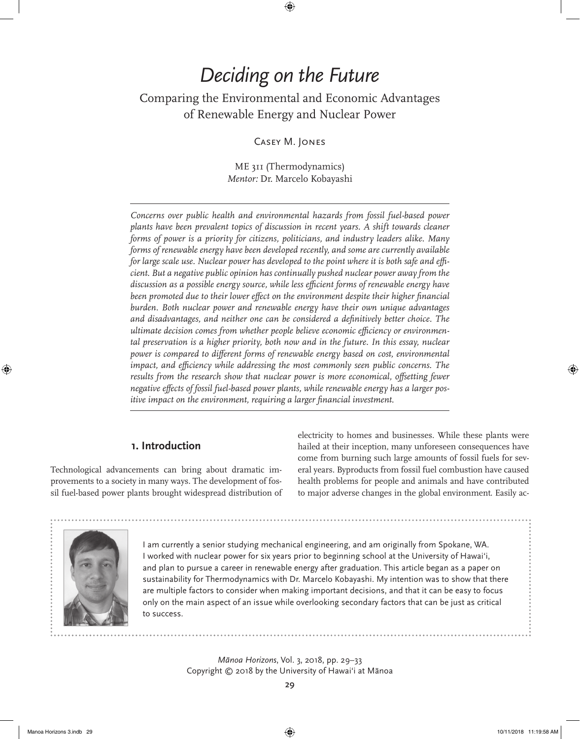# *Deciding on the Future*

⊕

## Comparing the Environmental and Economic Advantages of Renewable Energy and Nuclear Power

Casey M. Jones

ME 311 (Thermodynamics) *Mentor:* Dr. Marcelo Kobayashi

*Concerns over public health and environmental hazards from fossil fuel-based power plants have been prevalent topics of discussion in recent years. A shift towards cleaner forms of power is a priority for citizens, politicians, and industry leaders alike. Many forms of renewable energy have been developed recently, and some are currently available for large scale use. Nuclear power has developed to the point where it is both safe and efficient. But a negative public opinion has continually pushed nuclear power away from the discussion as a possible energy source, while less efficient forms of renewable energy have*  been promoted due to their lower effect on the environment despite their higher financial *burden. Both nuclear power and renewable energy have their own unique advantages and disadvantages, and neither one can be considered a definitively better choice. The ultimate decision comes from whether people believe economic efficiency or environmental preservation is a higher priority, both now and in the future. In this essay, nuclear power is compared to different forms of renewable energy based on cost, environmental impact, and efficiency while addressing the most commonly seen public concerns. The* results from the research show that nuclear power is more economical, offsetting fewer *negative effects of fossil fuel-based power plants, while renewable energy has a larger positive impact on the environment, requiring a larger financial investment.*

#### **1. Introduction**

Technological advancements can bring about dramatic improvements to a society in many ways. The development of fossil fuel-based power plants brought widespread distribution of electricity to homes and businesses. While these plants were hailed at their inception, many unforeseen consequences have come from burning such large amounts of fossil fuels for several years. Byproducts from fossil fuel combustion have caused health problems for people and animals and have contributed to major adverse changes in the global environment. Easily ac-



I am currently a senior studying mechanical engineering, and am originally from Spokane, WA. I worked with nuclear power for six years prior to beginning school at the University of Hawai'i, and plan to pursue a career in renewable energy after graduation. This article began as a paper on sustainability for Thermodynamics with Dr. Marcelo Kobayashi. My intention was to show that there are multiple factors to consider when making important decisions, and that it can be easy to focus only on the main aspect of an issue while overlooking secondary factors that can be just as critical to success.

> *Mānoa Horizons*, Vol. 3, 2018, pp. 29–33 Copyright © 2018 by the University of Hawai'i at Mānoa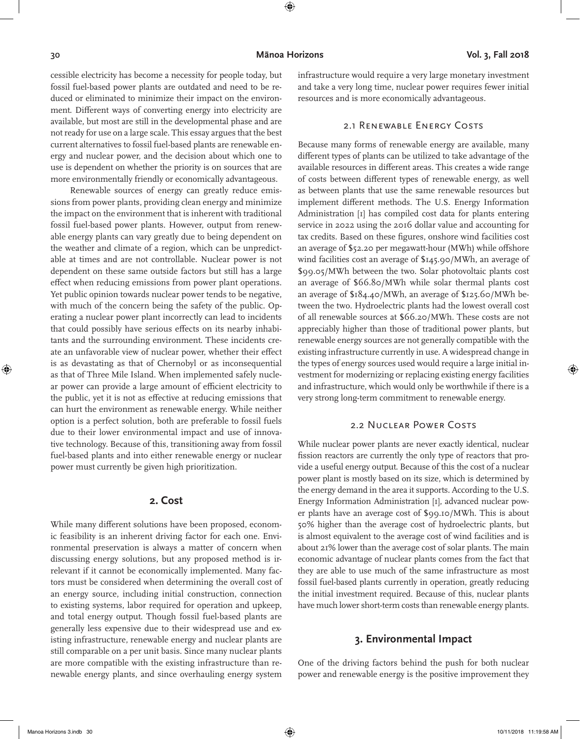⊕

⊕

cessible electricity has become a necessity for people today, but fossil fuel-based power plants are outdated and need to be reduced or eliminated to minimize their impact on the environment. Different ways of converting energy into electricity are available, but most are still in the developmental phase and are not ready for use on a large scale. This essay argues that the best current alternatives to fossil fuel-based plants are renewable energy and nuclear power, and the decision about which one to use is dependent on whether the priority is on sources that are more environmentally friendly or economically advantageous.

Renewable sources of energy can greatly reduce emissions from power plants, providing clean energy and minimize the impact on the environment that is inherent with traditional fossil fuel-based power plants. However, output from renewable energy plants can vary greatly due to being dependent on the weather and climate of a region, which can be unpredictable at times and are not controllable. Nuclear power is not dependent on these same outside factors but still has a large effect when reducing emissions from power plant operations. Yet public opinion towards nuclear power tends to be negative, with much of the concern being the safety of the public. Operating a nuclear power plant incorrectly can lead to incidents that could possibly have serious effects on its nearby inhabitants and the surrounding environment. These incidents create an unfavorable view of nuclear power, whether their effect is as devastating as that of Chernobyl or as inconsequential as that of Three Mile Island. When implemented safely nuclear power can provide a large amount of efficient electricity to the public, yet it is not as effective at reducing emissions that can hurt the environment as renewable energy. While neither option is a perfect solution, both are preferable to fossil fuels due to their lower environmental impact and use of innovative technology. Because of this, transitioning away from fossil fuel-based plants and into either renewable energy or nuclear power must currently be given high prioritization.

#### **2. Cost**

While many different solutions have been proposed, economic feasibility is an inherent driving factor for each one. Environmental preservation is always a matter of concern when discussing energy solutions, but any proposed method is irrelevant if it cannot be economically implemented. Many factors must be considered when determining the overall cost of an energy source, including initial construction, connection to existing systems, labor required for operation and upkeep, and total energy output. Though fossil fuel-based plants are generally less expensive due to their widespread use and existing infrastructure, renewable energy and nuclear plants are still comparable on a per unit basis. Since many nuclear plants are more compatible with the existing infrastructure than renewable energy plants, and since overhauling energy system

infrastructure would require a very large monetary investment and take a very long time, nuclear power requires fewer initial resources and is more economically advantageous.

#### 2.1 Renewable Energy Costs

Because many forms of renewable energy are available, many different types of plants can be utilized to take advantage of the available resources in different areas. This creates a wide range of costs between different types of renewable energy, as well as between plants that use the same renewable resources but implement different methods. The U.S. Energy Information Administration [1] has compiled cost data for plants entering service in 2022 using the 2016 dollar value and accounting for tax credits. Based on these figures, onshore wind facilities cost an average of \$52.20 per megawatt-hour (MWh) while offshore wind facilities cost an average of \$145.90/MWh, an average of \$99.05/MWh between the two. Solar photovoltaic plants cost an average of \$66.80/MWh while solar thermal plants cost an average of \$184.40/MWh, an average of \$125.60/MWh between the two. Hydroelectric plants had the lowest overall cost of all renewable sources at \$66.20/MWh. These costs are not appreciably higher than those of traditional power plants, but renewable energy sources are not generally compatible with the existing infrastructure currently in use. A widespread change in the types of energy sources used would require a large initial investment for modernizing or replacing existing energy facilities and infrastructure, which would only be worthwhile if there is a very strong long-term commitment to renewable energy.

#### 2.2 Nuclear Power Costs

While nuclear power plants are never exactly identical, nuclear fission reactors are currently the only type of reactors that provide a useful energy output. Because of this the cost of a nuclear power plant is mostly based on its size, which is determined by the energy demand in the area it supports. According to the U.S. Energy Information Administration [1], advanced nuclear power plants have an average cost of \$99.10/MWh. This is about 50% higher than the average cost of hydroelectric plants, but is almost equivalent to the average cost of wind facilities and is about 21% lower than the average cost of solar plants. The main economic advantage of nuclear plants comes from the fact that they are able to use much of the same infrastructure as most fossil fuel-based plants currently in operation, greatly reducing the initial investment required. Because of this, nuclear plants have much lower short-term costs than renewable energy plants.

#### **3. Environmental Impact**

One of the driving factors behind the push for both nuclear power and renewable energy is the positive improvement they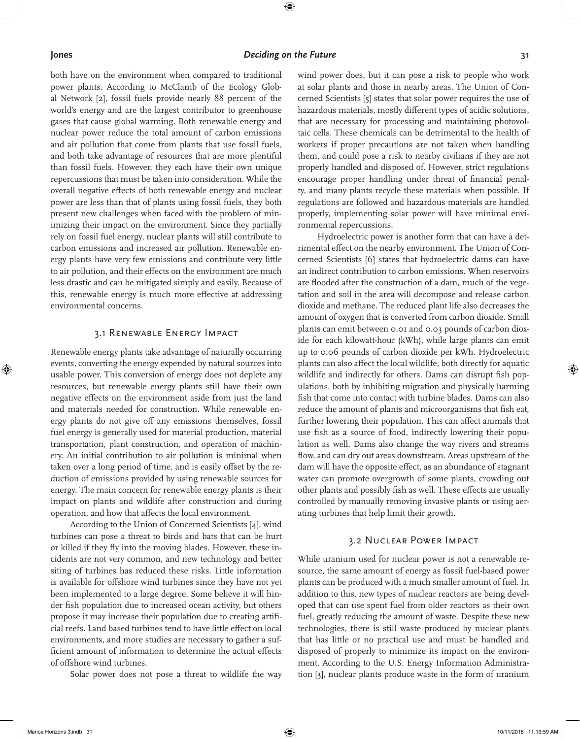⊕

#### **Jones** *Deciding on the Future Deciding on the Future* **31**

both have on the environment when compared to traditional power plants. According to McClamb of the Ecology Global Network [2], fossil fuels provide nearly 88 percent of the world's energy and are the largest contributor to greenhouse gases that cause global warming. Both renewable energy and nuclear power reduce the total amount of carbon emissions and air pollution that come from plants that use fossil fuels, and both take advantage of resources that are more plentiful than fossil fuels. However, they each have their own unique repercussions that must be taken into consideration. While the overall negative effects of both renewable energy and nuclear power are less than that of plants using fossil fuels, they both present new challenges when faced with the problem of minimizing their impact on the environment. Since they partially rely on fossil fuel energy, nuclear plants will still contribute to carbon emissions and increased air pollution. Renewable energy plants have very few emissions and contribute very little to air pollution, and their effects on the environment are much less drastic and can be mitigated simply and easily. Because of this, renewable energy is much more effective at addressing environmental concerns.

### 3.1 Renewable Energy Impact

Renewable energy plants take advantage of naturally occurring events, converting the energy expended by natural sources into usable power. This conversion of energy does not deplete any resources, but renewable energy plants still have their own negative effects on the environment aside from just the land and materials needed for construction. While renewable energy plants do not give off any emissions themselves, fossil fuel energy is generally used for material production, material transportation, plant construction, and operation of machinery. An initial contribution to air pollution is minimal when taken over a long period of time, and is easily offset by the reduction of emissions provided by using renewable sources for energy. The main concern for renewable energy plants is their impact on plants and wildlife after construction and during operation, and how that affects the local environment.

According to the Union of Concerned Scientists [4], wind turbines can pose a threat to birds and bats that can be hurt or killed if they fly into the moving blades. However, these incidents are not very common, and new technology and better siting of turbines has reduced these risks. Little information is available for offshore wind turbines since they have not yet been implemented to a large degree. Some believe it will hinder fish population due to increased ocean activity, but others propose it may increase their population due to creating artificial reefs. Land based turbines tend to have little effect on local environments, and more studies are necessary to gather a sufficient amount of information to determine the actual effects of offshore wind turbines.

Solar power does not pose a threat to wildlife the way

wind power does, but it can pose a risk to people who work at solar plants and those in nearby areas. The Union of Concerned Scientists [5] states that solar power requires the use of hazardous materials, mostly different types of acidic solutions, that are necessary for processing and maintaining photovoltaic cells. These chemicals can be detrimental to the health of workers if proper precautions are not taken when handling them, and could pose a risk to nearby civilians if they are not properly handled and disposed of. However, strict regulations encourage proper handling under threat of financial penalty, and many plants recycle these materials when possible. If regulations are followed and hazardous materials are handled properly, implementing solar power will have minimal environmental repercussions.

Hydroelectric power is another form that can have a detrimental effect on the nearby environment. The Union of Concerned Scientists [6] states that hydroelectric dams can have an indirect contribution to carbon emissions. When reservoirs are flooded after the construction of a dam, much of the vegetation and soil in the area will decompose and release carbon dioxide and methane. The reduced plant life also decreases the amount of oxygen that is converted from carbon dioxide. Small plants can emit between 0.01 and 0.03 pounds of carbon dioxide for each kilowatt-hour (kWh), while large plants can emit up to 0.06 pounds of carbon dioxide per kWh. Hydroelectric plants can also affect the local wildlife, both directly for aquatic wildlife and indirectly for others. Dams can disrupt fish populations, both by inhibiting migration and physically harming fish that come into contact with turbine blades. Dams can also reduce the amount of plants and microorganisms that fish eat, further lowering their population. This can affect animals that use fish as a source of food, indirectly lowering their population as well. Dams also change the way rivers and streams flow, and can dry out areas downstream. Areas upstream of the dam will have the opposite effect, as an abundance of stagnant water can promote overgrowth of some plants, crowding out other plants and possibly fish as well. These effects are usually controlled by manually removing invasive plants or using aerating turbines that help limit their growth.

#### 3.2 Nuclear Power Impact

While uranium used for nuclear power is not a renewable resource, the same amount of energy as fossil fuel-based power plants can be produced with a much smaller amount of fuel. In addition to this, new types of nuclear reactors are being developed that can use spent fuel from older reactors as their own fuel, greatly reducing the amount of waste. Despite these new technologies, there is still waste produced by nuclear plants that has little or no practical use and must be handled and disposed of properly to minimize its impact on the environment. According to the U.S. Energy Information Administration [3], nuclear plants produce waste in the form of uranium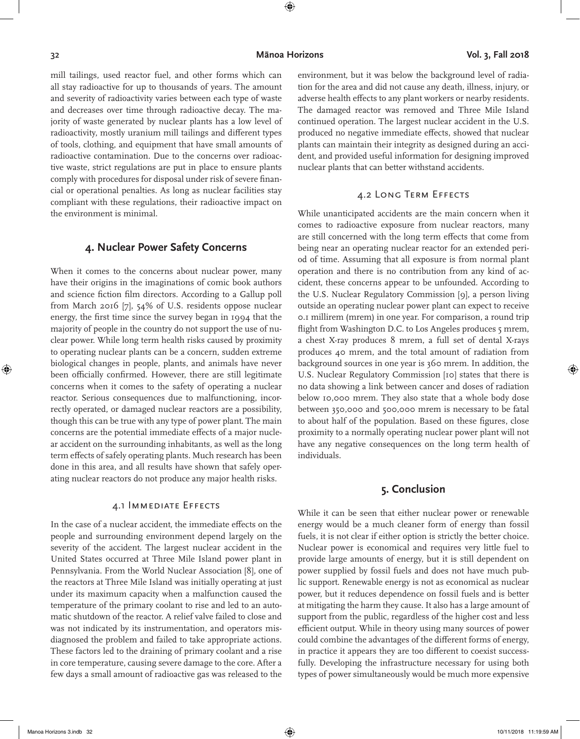⊕

⊕

mill tailings, used reactor fuel, and other forms which can all stay radioactive for up to thousands of years. The amount and severity of radioactivity varies between each type of waste and decreases over time through radioactive decay. The majority of waste generated by nuclear plants has a low level of radioactivity, mostly uranium mill tailings and different types of tools, clothing, and equipment that have small amounts of radioactive contamination. Due to the concerns over radioactive waste, strict regulations are put in place to ensure plants comply with procedures for disposal under risk of severe financial or operational penalties. As long as nuclear facilities stay compliant with these regulations, their radioactive impact on the environment is minimal.

#### **4. Nuclear Power Safety Concerns**

When it comes to the concerns about nuclear power, many have their origins in the imaginations of comic book authors and science fiction film directors. According to a Gallup poll from March 2016 [7], 54% of U.S. residents oppose nuclear energy, the first time since the survey began in 1994 that the majority of people in the country do not support the use of nuclear power. While long term health risks caused by proximity to operating nuclear plants can be a concern, sudden extreme biological changes in people, plants, and animals have never been officially confirmed. However, there are still legitimate concerns when it comes to the safety of operating a nuclear reactor. Serious consequences due to malfunctioning, incorrectly operated, or damaged nuclear reactors are a possibility, though this can be true with any type of power plant. The main concerns are the potential immediate effects of a major nuclear accident on the surrounding inhabitants, as well as the long term effects of safely operating plants. Much research has been done in this area, and all results have shown that safely operating nuclear reactors do not produce any major health risks.

#### 4.1 Immediate Effects

In the case of a nuclear accident, the immediate effects on the people and surrounding environment depend largely on the severity of the accident. The largest nuclear accident in the United States occurred at Three Mile Island power plant in Pennsylvania. From the World Nuclear Association [8], one of the reactors at Three Mile Island was initially operating at just under its maximum capacity when a malfunction caused the temperature of the primary coolant to rise and led to an automatic shutdown of the reactor. A relief valve failed to close and was not indicated by its instrumentation, and operators misdiagnosed the problem and failed to take appropriate actions. These factors led to the draining of primary coolant and a rise in core temperature, causing severe damage to the core. After a few days a small amount of radioactive gas was released to the

environment, but it was below the background level of radiation for the area and did not cause any death, illness, injury, or adverse health effects to any plant workers or nearby residents. The damaged reactor was removed and Three Mile Island continued operation. The largest nuclear accident in the U.S. produced no negative immediate effects, showed that nuclear plants can maintain their integrity as designed during an accident, and provided useful information for designing improved nuclear plants that can better withstand accidents.

#### 4.2 Long Term Effects

While unanticipated accidents are the main concern when it comes to radioactive exposure from nuclear reactors, many are still concerned with the long term effects that come from being near an operating nuclear reactor for an extended period of time. Assuming that all exposure is from normal plant operation and there is no contribution from any kind of accident, these concerns appear to be unfounded. According to the U.S. Nuclear Regulatory Commission [9], a person living outside an operating nuclear power plant can expect to receive 0.1 millirem (mrem) in one year. For comparison, a round trip flight from Washington D.C. to Los Angeles produces 5 mrem, a chest X-ray produces 8 mrem, a full set of dental X-rays produces 40 mrem, and the total amount of radiation from background sources in one year is 360 mrem. In addition, the U.S. Nuclear Regulatory Commission [10] states that there is no data showing a link between cancer and doses of radiation below 10,000 mrem. They also state that a whole body dose between 350,000 and 500,000 mrem is necessary to be fatal to about half of the population. Based on these figures, close proximity to a normally operating nuclear power plant will not have any negative consequences on the long term health of individuals.

#### **5. Conclusion**

While it can be seen that either nuclear power or renewable energy would be a much cleaner form of energy than fossil fuels, it is not clear if either option is strictly the better choice. Nuclear power is economical and requires very little fuel to provide large amounts of energy, but it is still dependent on power supplied by fossil fuels and does not have much public support. Renewable energy is not as economical as nuclear power, but it reduces dependence on fossil fuels and is better at mitigating the harm they cause. It also has a large amount of support from the public, regardless of the higher cost and less efficient output. While in theory using many sources of power could combine the advantages of the different forms of energy, in practice it appears they are too different to coexist successfully. Developing the infrastructure necessary for using both types of power simultaneously would be much more expensive